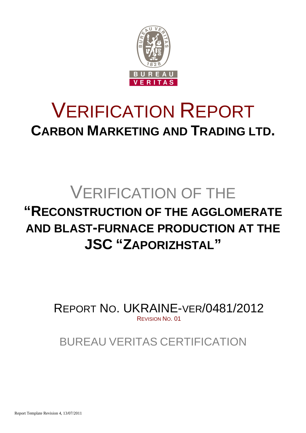

# VERIFICATION REPORT **CARBON MARKETING AND TRADING LTD.**

# VERIFICATION OF THE **"RECONSTRUCTION OF THE AGGLOMERATE AND BLAST-FURNACE PRODUCTION AT THE JSC "ZAPORIZHSTAL"**

REPORT NO. UKRAINE-VER/0481/2012 REVISION NO. 01

BUREAU VERITAS CERTIFICATION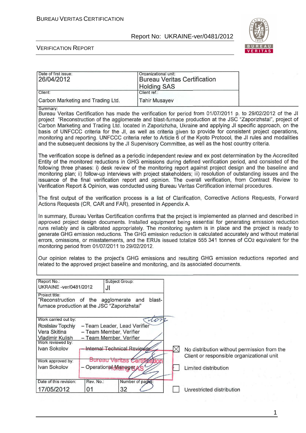

#### VERIFICATION REPORT

| Date of first issue:<br>26/04/2012                                                                              |                                                                                    | Organizational unit:<br><b>Holding SAS</b>                   | <b>Bureau Veritas Certification</b>                                                                  |                                                                                                                                                                                                                                                                                                                                                                                                                                                                                                                                                                                                                                                                                |
|-----------------------------------------------------------------------------------------------------------------|------------------------------------------------------------------------------------|--------------------------------------------------------------|------------------------------------------------------------------------------------------------------|--------------------------------------------------------------------------------------------------------------------------------------------------------------------------------------------------------------------------------------------------------------------------------------------------------------------------------------------------------------------------------------------------------------------------------------------------------------------------------------------------------------------------------------------------------------------------------------------------------------------------------------------------------------------------------|
| Client:                                                                                                         |                                                                                    | Client ref.:                                                 |                                                                                                      |                                                                                                                                                                                                                                                                                                                                                                                                                                                                                                                                                                                                                                                                                |
| Carbon Marketing and Trading Ltd.                                                                               |                                                                                    | <b>Tahir Musayev</b>                                         |                                                                                                      |                                                                                                                                                                                                                                                                                                                                                                                                                                                                                                                                                                                                                                                                                |
| Summary:                                                                                                        |                                                                                    |                                                              | and the subsequent decisions by the JI Supervisory Committee, as well as the host country criteria.  | Bureau Veritas Certification has made the verification for period from 01/07/2011 p. to 29/02/2012 of the JI<br>project "Reconstruction of the agglomerate and blast-furnace production at the JSC "Zaporizhstal", project of<br>Carbon Marketing and Trading Ltd. located in Zaporizhzha, Ukraine and applying JI specific approach, on the<br>basis of UNFCCC criteria for the JI, as well as criteria given to provide for consistent project operations,<br>monitoring and reporting. UNFCCC criteria refer to Article 6 of the Kyoto Protocol, the JI rules and modalities                                                                                                |
|                                                                                                                 |                                                                                    |                                                              | Verification Report & Opinion, was conducted using Bureau Veritas Certification internal procedures. | The verification scope is defined as a periodic independent review and ex post determination by the Accredited<br>Entity of the monitored reductions in GHG emissions during defined verification period, and consisted of the<br>following three phases: i) desk review of the monitoring report against project design and the baseline and<br>monitoring plan; ii) follow-up interviews with project stakeholders; iii) resolution of outstanding issues and the<br>issuance of the final verification report and opinion. The overall verification, from Contract Review to                                                                                                |
|                                                                                                                 |                                                                                    | Actions Requests (CR, CAR and FAR), presented in Appendix A. |                                                                                                      | The first output of the verification process is a list of Clarification, Corrective Actions Requests, Forward                                                                                                                                                                                                                                                                                                                                                                                                                                                                                                                                                                  |
| monitoring period from 01/07/2011 to 29/02/2012.                                                                |                                                                                    |                                                              | related to the approved project baseline and monitoring, and its associated documents.               | In summary, Bureau Veritas Certification confirms that the project is implemented as planned and described in<br>approved project design documents. Installed equipment being essential for generating emission reduction<br>runs reliably and is calibrated appropriately. The monitoring system is in place and the project is ready to<br>generate GHG emission reductions. The GHG emission reduction is calculated accurately and without material<br>errors, omissions, or misstatements, and the ERUs issued totalize 555 341 tonnes of CO2 equivalent for the<br>Our opinion relates to the project's GHG emissions and resulting GHG emission reductions reported and |
| Report No.:<br>UKRAINE -ver/0481/2012                                                                           | Subject Group:<br>JI                                                               |                                                              |                                                                                                      |                                                                                                                                                                                                                                                                                                                                                                                                                                                                                                                                                                                                                                                                                |
| Project title:<br>"Reconstruction of the agglomerate and blast-<br>furnace production at the JSC "Zaporizhstal" |                                                                                    |                                                              |                                                                                                      |                                                                                                                                                                                                                                                                                                                                                                                                                                                                                                                                                                                                                                                                                |
| Work carried out by.<br>Rostislav Topchiy<br>Vera Skitina<br><b>Vladimir Kulish</b><br>Work reviewed by:        | - Team Leader, Lead Verifier<br>- Team Member, Verifier<br>- Team Member, Verifier | ton                                                          |                                                                                                      |                                                                                                                                                                                                                                                                                                                                                                                                                                                                                                                                                                                                                                                                                |
| Ivan Sokolov                                                                                                    | <b>Internal Technical Reviewer</b>                                                 |                                                              | No distribution without permission from the<br>Client or responsible organizational unit             |                                                                                                                                                                                                                                                                                                                                                                                                                                                                                                                                                                                                                                                                                |
| Work approved by:<br>Ivan Sokolov                                                                               | <b>Bureau Ventas Certi</b><br>- Operational Manager                                |                                                              | Limited distribution                                                                                 |                                                                                                                                                                                                                                                                                                                                                                                                                                                                                                                                                                                                                                                                                |
| Date of this revision:                                                                                          | Rev. No.:                                                                          | Number of pages:                                             |                                                                                                      |                                                                                                                                                                                                                                                                                                                                                                                                                                                                                                                                                                                                                                                                                |
| 17/05/2012                                                                                                      | 01                                                                                 | 32                                                           | Unrestricted distribution                                                                            |                                                                                                                                                                                                                                                                                                                                                                                                                                                                                                                                                                                                                                                                                |

1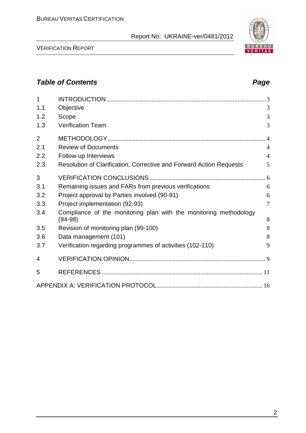

# **Table of Contents Page 2018**

| $\overline{1}$ |                                                                                |                |
|----------------|--------------------------------------------------------------------------------|----------------|
| 1.1            | Objective                                                                      | 3              |
| 1.2            | Scope                                                                          | 3              |
| 1.3            | <b>Verification Team</b>                                                       | 3              |
| $\overline{2}$ |                                                                                |                |
| 2.1            | <b>Review of Documents</b>                                                     | $\overline{4}$ |
| 2.2            | Follow-up Interviews                                                           | $\overline{4}$ |
| 2.3            | Resolution of Clarification, Corrective and Forward Action Requests            | 5              |
| 3              |                                                                                |                |
| 3.1            | Remaining issues and FARs from previous verifications                          | 6              |
| 3.2            | Project approval by Parties involved (90-91)                                   | 6              |
| 3.3            | Project implementation (92-93)                                                 | $\tau$         |
| 3.4            | Compliance of the monitoring plan with the monitoring methodology<br>$(94-98)$ | 8              |
| 3.5            | Revision of monitoring plan (99-100)                                           | 8              |
| 3.6            | Data management (101)                                                          | 8              |
| 3.7            | Verification regarding programmes of activities (102-110)                      | 9              |
| 4              |                                                                                |                |
| 5              |                                                                                |                |
|                |                                                                                |                |

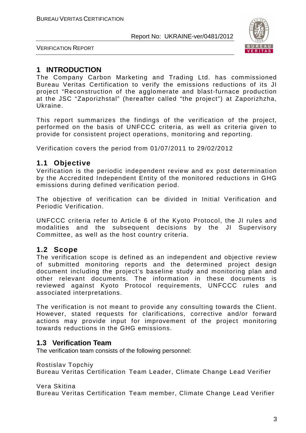

VERIFICATION REPORT

# **1 INTRODUCTION**

The Company Carbon Marketing and Trading Ltd. has commissioned Bureau Veritas Certification to verify the emissions reductions of its JI project "Reconstruction of the agglomerate and blast-furnace production at the JSC "Zaporizhstal" (hereafter called "the project") at Zaporizhzha, Ukraine.

This report summarizes the findings of the verification of the project, performed on the basis of UNFCCC criteria, as well as criteria given to provide for consistent project operations, monitoring and reporting.

Verification covers the period from 01/07/2011 to 29/02/2012

#### **1.1 Objective**

Verification is the periodic independent review and ex post determination by the Accredited Independent Entity of the monitored reductions in GHG emissions during defined verification period.

The objective of verification can be divided in Initial Verification and Periodic Verification.

UNFCCC criteria refer to Article 6 of the Kyoto Protocol, the JI rules and modalities and the subsequent decisions by the JI Supervisory Committee, as well as the host country criteria.

# **1.2 Scope**

The verification scope is defined as an independent and objective review of submitted monitoring reports and the determined project design document including the project's baseline study and monitoring plan and other relevant documents. The information in these documents is reviewed against Kyoto Protocol requirements, UNFCCC rules and associated interpretations.

The verification is not meant to provide any consulting towards the Client. However, stated requests for clarifications, corrective and/or forward actions may provide input for improvement of the project monitoring towards reductions in the GHG emissions.

#### **1.3 Verification Team**

The verification team consists of the following personnel:

Rostislav Topchiy

Bureau Veritas Certification Team Leader, Climate Change Lead Verifier

Vera Skitina

Bureau Veritas Certification Team member, Climate Change Lead Verifier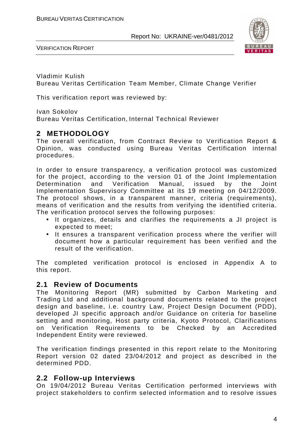

VERIFICATION REPORT

Vladimir Kulish Bureau Veritas Certification Team Member, Climate Change Verifier

This verification report was reviewed by:

Ivan Sokolov

Bureau Veritas Certification, Internal Technical Reviewer

# **2 METHODOLOGY**

The overall verification, from Contract Review to Verification Report & Opinion, was conducted using Bureau Veritas Certification internal procedures.

In order to ensure transparency, a verification protocol was customized for the project, according to the version 01 of the Joint Implementation Determination and Verification Manual, issued by the Joint Implementation Supervisory Committee at its 19 meeting on 04/12/2009. The protocol shows, in a transparent manner, criteria (requirements), means of verification and the results from verifying the identified criteria. The verification protocol serves the following purposes:

- It organizes, details and clarifies the requirements a JI project is expected to meet;
- It ensures a transparent verification process where the verifier will document how a particular requirement has been verified and the result of the verification.

The completed verification protocol is enclosed in Appendix A to this report.

#### **2.1 Review of Documents**

The Monitoring Report (MR) submitted by Carbon Marketing and Trading Ltd and additional background documents related to the project design and baseline, i.e. country Law, Project Design Document (PDD), developed JI specific approach and/or Guidance on criteria for baseline setting and monitoring, Host party criteria, Kyoto Protocol, Clarifications on Verification Requirements to be Checked by an Accredited Independent Entity were reviewed.

The verification findings presented in this report relate to the Monitoring Report version 02 dated 23/04/2012 and project as described in the determined PDD.

#### **2.2 Follow-up Interviews**

On 19/04/2012 Bureau Veritas Certification performed interviews with project stakeholders to confirm selected information and to resolve issues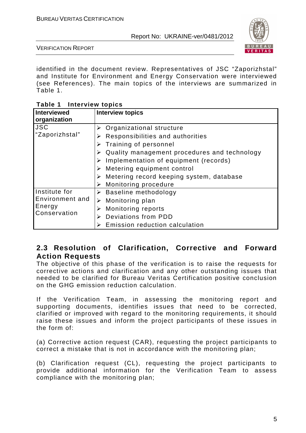

VERIFICATION REPORT

identified in the document review. Representatives of JSC "Zaporizhstal" and Institute for Environment and Energy Conservation were interviewed (see References). The main topics of the interviews are summarized in Table 1.

| $\frac{1}{2}$          |                                              |
|------------------------|----------------------------------------------|
| <b>Interviewed</b>     | <b>Interview topics</b>                      |
| organization           |                                              |
| <b>JSC</b>             | $\triangleright$ Organizational structure    |
| "Zaporizhstal"         | Responsibilities and authorities<br>➤        |
|                        | Training of personnel                        |
|                        | Quality management procedures and technology |
|                        | Implementation of equipment (records)<br>➤   |
|                        | Metering equipment control                   |
|                        | Metering record keeping system, database     |
|                        | Monitoring procedure<br>➤                    |
| Institute for          | $\triangleright$ Baseline methodology        |
| Environment and        | Monitoring plan<br>➤                         |
| Energy<br>Conservation | Monitoring reports                           |
|                        | Deviations from PDD<br>➤                     |
|                        | Emission reduction calculation               |

**Table 1 Interview topics** 

# **2.3 Resolution of Clarification, Corrective and Forward Action Requests**

The objective of this phase of the verification is to raise the requests for corrective actions and clarification and any other outstanding issues that needed to be clarified for Bureau Veritas Certification positive conclusion on the GHG emission reduction calculation.

If the Verification Team, in assessing the monitoring report and supporting documents, identifies issues that need to be corrected, clarified or improved with regard to the monitoring requirements, it should raise these issues and inform the project participants of these issues in the form of:

(a) Corrective action request (CAR), requesting the project participants to correct a mistake that is not in accordance with the monitoring plan;

(b) Clarification request (CL), requesting the project participants to provide additional information for the Verification Team to assess compliance with the monitoring plan;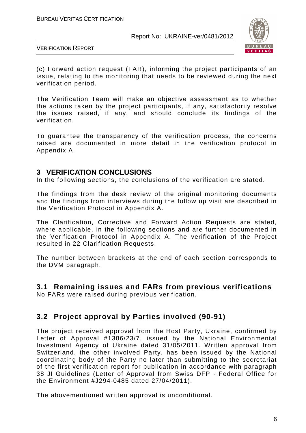

VERIFICATION REPORT

(c) Forward action request (FAR), informing the project participants of an issue, relating to the monitoring that needs to be reviewed during the next verification period.

The Verification Team will make an objective assessment as to whether the actions taken by the project participants, if any, satisfactorily resolve the issues raised, if any, and should conclude its findings of the verification.

To guarantee the transparency of the verification process, the concerns raised are documented in more detail in the verification protocol in Appendix A.

#### **3 VERIFICATION CONCLUSIONS**

In the following sections, the conclusions of the verification are stated.

The findings from the desk review of the original monitoring documents and the findings from interviews during the follow up visit are described in the Verification Protocol in Appendix A.

The Clarification, Corrective and Forward Action Requests are stated, where applicable, in the following sections and are further documented in the Verification Protocol in Appendix A. The verification of the Project resulted in 22 Clarification Requests.

The number between brackets at the end of each section corresponds to the DVM paragraph.

**3.1 Remaining issues and FARs from previous verifications** 

No FARs were raised during previous verification.

# **3.2 Project approval by Parties involved (90-91)**

The project received approval from the Host Party, Ukraine, confirmed by Letter of Approval #1386/23/7, issued by the National Environmental Investment Agency of Ukraine dated 31/05/2011. Written approval from Switzerland, the other involved Party, has been issued by the National coordinating body of the Party no later than submitting to the secretariat of the first verification report for publication in accordance with paragraph 38 JI Guidelines (Letter of Approval from Swiss DFP - Federal Office for the Environment #J294-0485 dated 27/04/2011).

The abovementioned written approval is unconditional.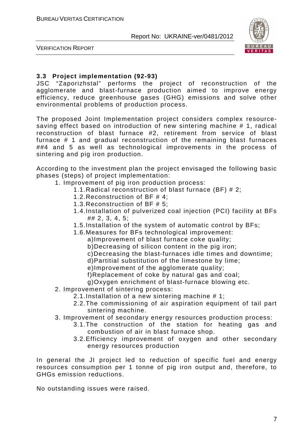

VERIFICATION REPORT

#### **3.3 Project implementation (92-93)**

JSC "Zaporizhstal" performs the project of reconstruction of the agglomerate and blast-furnace production aimed to improve energy efficiency, reduce greenhouse gases (GHG) emissions and solve other environmental problems of production process.

The proposed Joint Implementation project considers complex resourcesaving effect based on introduction of new sintering machine # 1, radical reconstruction of blast furnace #2, retirement from service of blast furnace # 1 and gradual reconstruction of the remaining blast furnaces ##4 and 5 as well as technological improvements in the process of sintering and pig iron production.

According to the investment plan the project envisaged the following basic phases (steps) of project implementation:

- 1. Improvement of pig iron production process:
	- 1.1.Radical reconstruction of blast furnace (BF) # 2;
	- 1.2.Reconstruction of BF # 4;
	- 1.3.Reconstruction of BF # 5;
	- 1.4.Installation of pulverized coal injection (PCI) facility at BFs ## 2, 3, 4, 5;
	- 1.5.Installation of the system of automatic control by BFs;
	- 1.6.Measures for BFs technological improvement:
		- a)Improvement of blast furnace coke quality;
		- b)Decreasing of silicon content in the pig iron;
		- c)Decreasing the blast-furnaces idle times and downtime;
		- d)Partitial substitution of the limestone by lime;
		- e)Improvement of the agglomerate quality;
		- f)Replacement of coke by natural gas and coal;
		- g)Oxygen enrichment of blast-furnace blowing etc.
- 2. Improvement of sintering process:
	- 2.1.Installation of a new sintering machine # 1;
	- 2.2.The commissioning of air aspiration equipment of tail part sintering machine.
- 3. Improvement of secondary energy resources production process:
	- 3.1.The construction of the station for heating gas and combustion of air in blast furnace shop.
	- 3.2.Efficiency improvement of oxygen and other secondary energy resources production

In general the JI project led to reduction of specific fuel and energy resources consumption per 1 tonne of pig iron output and, therefore, to GHGs emission reductions.

No outstanding issues were raised.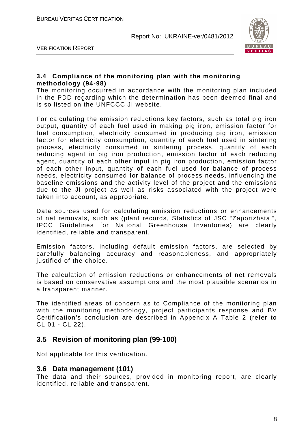

VERIFICATION REPORT

#### **3.4 Compliance of the monitoring plan with the monitoring methodology (94-98)**

The monitoring occurred in accordance with the monitoring plan included in the PDD regarding which the determination has been deemed final and is so listed on the UNFCCC JI website.

For calculating the emission reductions key factors, such as total pig iron output, quantity of each fuel used in making pig iron, emission factor for fuel consumption, electricity consumed in producing pig iron, emission factor for electricity consumption, quantity of each fuel used in sintering process, electricity consumed in sintering process, quantity of each reducing agent in pig iron production, emission factor of each reducing agent, quantity of each other input in pig iron production, emission factor of each other input, quantity of each fuel used for balance of process needs, electricity consumed for balance of process needs, influencing the baseline emissions and the activity level of the project and the emissions due to the JI project as well as risks associated with the project were taken into account, as appropriate.

Data sources used for calculating emission reductions or enhancements of net removals, such as (plant records, Statistics of JSC "Zaporizhstal", IPCC Guidelines for National Greenhouse Inventories) are clearly identified, reliable and transparent.

Emission factors, including default emission factors, are selected by carefully balancing accuracy and reasonableness, and appropriately justified of the choice.

The calculation of emission reductions or enhancements of net removals is based on conservative assumptions and the most plausible scenarios in a transparent manner.

The identified areas of concern as to Compliance of the monitoring plan with the monitoring methodology, project participants response and BV Certification's conclusion are described in Appendix A Table 2 (refer to CL 01 - CL 22).

# **3.5 Revision of monitoring plan (99-100)**

Not applicable for this verification.

#### **3.6 Data management (101)**

The data and their sources, provided in monitoring report, are clearly identified, reliable and transparent.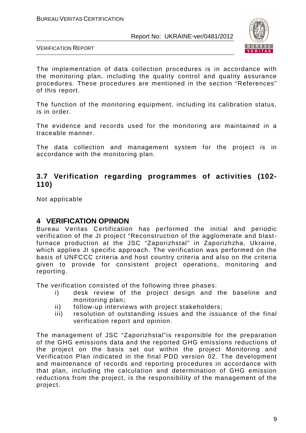

VERIFICATION REPORT

The implementation of data collection procedures is in accordance with the monitoring plan, including the quality control and quality assurance procedures. These procedures are mentioned in the section "References" of this report.

The function of the monitoring equipment, including its calibration status, is in order.

The evidence and records used for the monitoring are maintained in a traceable manner.

The data collection and management system for the project is in accordance with the monitoring plan.

# **3.7 Verification regarding programmes of activities (102- 110)**

Not applicable

#### **4 VERIFICATION OPINION**

Bureau Veritas Certification has performed the initial and periodic verification of the JI project "Reconstruction of the agglomerate and blastfurnace production at the JSC "Zaporizhstal" in Zaporizhzha, Ukraine, which applies JI specific approach. The verification was performed on the basis of UNFCCC criteria and host country criteria and also on the criteria given to provide for consistent project operations, monitoring and reporting.

The verification consisted of the following three phases:

- i) desk review of the project design and the baseline and monitoring plan;
- ii) follow-up interviews with project stakeholders;
- iii) resolution of outstanding issues and the issuance of the final verification report and opinion.

The management of JSC "Zaporizhstal"is responsible for the preparation of the GHG emissions data and the reported GHG emissions reductions of the project on the basis set out within the project Monitoring and Verification Plan indicated in the final PDD version 02. The development and maintenance of records and reporting procedures in accordance with that plan, including the calculation and determination of GHG emission reductions from the project, is the responsibility of the management of the project.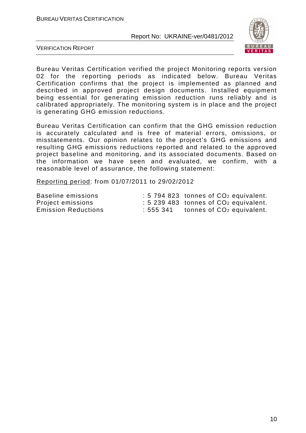

VERIFICATION REPORT

Bureau Veritas Certification verified the project Monitoring reports version 02 for the reporting periods as indicated below. Bureau Veritas Certification confirms that the project is implemented as planned and described in approved project design documents. Installed equipment being essential for generating emission reduction runs reliably and is calibrated appropriately. The monitoring system is in place and the project is generating GHG emission reductions.

Bureau Veritas Certification can confirm that the GHG emission reduction is accurately calculated and is free of material errors, omissions, or misstatements. Our opinion relates to the project's GHG emissions and resulting GHG emissions reductions reported and related to the approved project baseline and monitoring, and its associated documents. Based on the information we have seen and evaluated, we confirm, with a reasonable level of assurance, the following statement:

Reporting period: from 01/07/2011 to 29/02/2012

| Baseline emissions         |          | $: 5794823$ tonnes of $CO2$ equivalent.                |
|----------------------------|----------|--------------------------------------------------------|
| Project emissions          |          | $\div$ 5 239 483 tonnes of CO <sub>2</sub> equivalent. |
| <b>Emission Reductions</b> | :555 341 | tonnes of CO <sub>2</sub> equivalent.                  |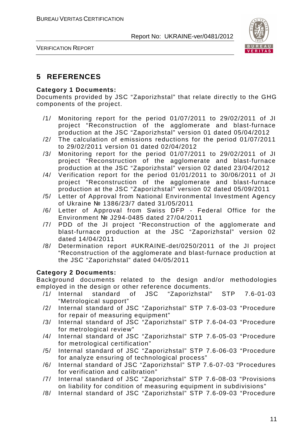

VERIFICATION REPORT

# **5 REFERENCES**

#### **Category 1 Documents:**

Documents provided by JSC "Zaporizhstal" that relate directly to the GHG components of the project.

- /1/ Monitoring report for the period 01/07/2011 to 29/02/2011 of JI project "Reconstruction of the agglomerate and blast-furnace production at the JSC "Zaporizhstal" version 01 dated 05/04/2012
- /2/ The calculation of emissions reductions for the period 01/07/2011 to 29/02/2011 version 01 dated 02/04/2012
- /3/ Monitoring report for the period 01/07/2011 to 29/02/2011 of JI project "Reconstruction of the agglomerate and blast-furnace production at the JSC "Zaporizhstal" version 02 dated 23/04/2012
- /4/ Verification report for the period 01/01/2011 to 30/06/2011 of JI project "Reconstruction of the agglomerate and blast-furnace production at the JSC "Zaporizhstal" version 02 dated 05/09/2011
- /5/ Letter of Approval from National Environmental Investment Agency of Ukraine № 1386/23/7 dated 31/05/2011
- /6/ Letter of Approval from Swiss DFP Federal Office for the Environment № J294-0485 dated 27/04/2011
- /7/ PDD of the JI project "Reconstruction of the agglomerate and blast-furnace production at the JSC "Zaporizhstal" version 02 dated 14/04/2011
- /8/ Determination report #UKRAINE-det/0250/2011 of the JI project "Reconstruction of the agglomerate and blast-furnace production at the JSC "Zaporizhstal" dated 04/05/2011

#### **Category 2 Documents:**

Background documents related to the design and/or methodologies employed in the design or other reference documents.

- /1/ Internal standard of JSC "Zaporizhstal" STP 7.6-01-03 "Metrological support"
- /2/ Internal standard of JSC "Zaporizhstal" STP 7.6-03-03 "Procedure for repair of measuring equipment"
- /3/ Internal standard of JSC "Zaporizhstal" STP 7.6-04-03 "Procedure for metrological review"
- /4/ Internal standard of JSC "Zaporizhstal" STP 7.6-05-03 "Procedure for metrological certification"
- /5/ Internal standard of JSC "Zaporizhstal" STP 7.6-06-03 "Procedure for analyze ensuring of technological process"
- /6/ Internal standard of JSC "Zaporizhstal" STP 7.6-07-03 "Procedures for verification and calibration"
- /7/ Internal standard of JSC "Zaporizhstal" STP 7.6-08-03 "Provisions on liability for condition of measuring equipment in subdivisions"
- /8/ Internal standard of JSC "Zaporizhstal" STP 7.6-09-03 "Procedure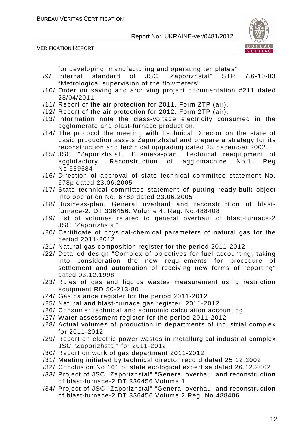VERIFICATION REPORT



for developing, manufacturing and operating templates"

- /9/ Internal standard of JSC "Zaporizhstal" STP 7.6-10-03 "Metrological supervision of the flowmeters"
- /10/ Order on saving and archiving project documentation #211 dated 28/04/2011
- /11/ Report of the air protection for 2011. Form 2TP (air).
- /12/ Report of the air protection for 2012. Form 2TP (air).
- /13/ Information note the class-voltage electricity consumed in the agglomerate and blast-furnace production.
- /14/ The protocol the meeting with Technical Director on the state of basic production assets Zaporizhstal and prepare a strategy for its reconstruction and technical upgrading dated 25 december 2002.
- /15/ JSC "Zaporizhstal". Business-plan. Technical reequipment of agglofactory. Reconstruction of agglomachine No.1. Reg No.539584
- /16/ Direction of approval of state technical committee statement No. 678p dated 23.06.2005
- /17/ State technical committee statement of putting ready-built object into operation No. 678p dated 23.06.2005
- /18/ Business-plan. General overhaul and reconstruction of blastfurnace-2. DT 336456. Volume 4. Reg. No.488408
- /19/ List of volumes related to general overhaul of blast-furnace-2 JSC "Zaporizhstal"
- /20/ Certificate of physical-chemical parameters of natural gas for the period 2011-2012
- /21/ Natural gas composition register for the period 2011-2012
- /22/ Detailed design "Complex of objectives for fuel accounting, taking into consideration the new requirements for procedure of settlement and automation of receiving new forms of reporting" dated 03.12.1998
- /23/ Rules of gas and liquids wastes measurement using restriction equipment RD 50-213-80
- /24/ Gas balance register for the period 2011-2012
- /25/ Natural and blast-furnace gas register. 2011-2012
- /26/ Consumer technical and economic calculation accounting
- /27/ Water assessment register for the period 2011-2012
- /28/ Actual volumes of production in departments of industrial complex for 2011-2012
- /29/ Report on electric power wastes in metallurgical industrial complex JSC "Zaporizhstal" for 2011-2012
- /30/ Report on work of gas department 2011-2012
- /31/ Meeting initiated by technical director record dated 25.12.2002
- /32/ Conclusion No.161 of state ecological expertise dated 26.12.2002
- /33/ Project of JSC "Zaporizhstal" "General overhaul and reconstruction of blast-furnace-2 DT 336456 Volume 1
- /34/ Project of JSC "Zaporizhstal" "General overhaul and reconstruction of blast-furnace-2 DT 336456 Volume 2 Reg. No.488406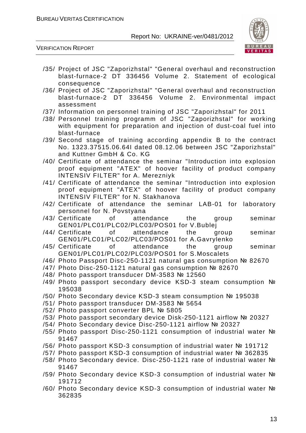

VERIFICATION REPORT

- /35/ Project of JSC "Zaporizhstal" "General overhaul and reconstruction blast-furnace-2 DT 336456 Volume 2. Statement of ecological consequence
- /36/ Project of JSC "Zaporizhstal" "General overhaul and reconstruction blast-furnace-2 DT 336456 Volume 2. Environmental impact assessment
- /37/ Information on personnel training of JSC "Zaporizhstal" for 2011
- /38/ Personnel training programm of JSC "Zaporizhstal" for working with equipment for preparation and injection of dust-coal fuel into blast-furnace
- /39/ Second stage of training according appendix B to the contract No. 1323.37515.06.64I dated 08.12.06 between JSC "Zaporizhstal" and Kuttner GmbH & Co. KG
- /40/ Certificate of attendance the seminar "Introduction into explosion proof equipment "ATEX" of hoover facility of product company INTENSIV FILTER" for A. Merezniyk
- /41/ Certificate of attendance the seminar "Introduction into explosion proof equipment "ATEX" of hoover facility of product company INTENSIV FILTER" for N. Stakhanova
- /42/ Certificate of attendance the seminar LAB-01 for laboratory personnel for N. Povstyana
- /43/ Certificate of attendance the group seminar GEN01/PLC01/PLC02/PLC03/POS01 for V.Bublej
- /44/ Certificate of attendance the group seminar GEN01/PLC01/PLC02/PLC03/POS01 for A.Gavrylenko
- /45/ Certificate of attendance the group seminar GEN01/PLC01/PLC02/PLC03/POS01 for S.Moscalets
- /46/ Photo Passport Disc-250-1121 natural gas consumption № 82670
- /47/ Photo Disc-250-1121 natural gas consumption № 82670
- /48/ Photo passport transducer DM-3583 № 12560
- /49/ Photo passport secondary device KSD-3 steam consumption № 195038
- /50/ Photo Secondary device KSD-3 steam consumption № 195038
- /51/ Photo passport transducer DM-3583 № 5654
- /52/ Photo passport converter BPL № 5805
- /53/ Photo passport secondary device Disk-250-1121 airflow № 20327
- /54/ Photo Secondary device Disc-250-1121 airflow № 20327
- /55/ Photo passport Disc-250-1121 consumption of industrial water № 91467
- /56/ Photo passport KSD-3 consumption of industrial water № 191712
- /57/ Photo passport KSD-3 consumption of industrial water № 362835
- /58/ Photo Secondary device. Disc-250-1121 rate of industrial water № 91467
- /59/ Photo Secondary device KSD-3 consumption of industrial water № 191712
- /60/ Photo Secondary device KSD-3 consumption of industrial water № 362835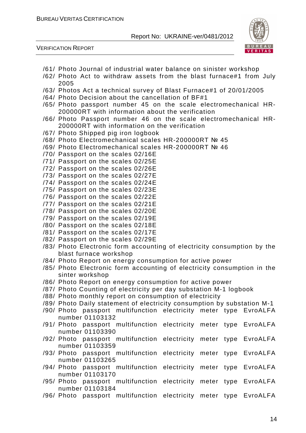



- /61/ Photo Journal of industrial water balance on sinister workshop
- /62/ Photo Act to withdraw assets from the blast furnace#1 from July 2005
- /63/ Photos Act a technical survey of Blast Furnace#1 of 20/01/2005
- /64/ Photo Decision about the cancellation of BF#1
- /65/ Photo passport number 45 on the scale electromechanical HR-200000RT with information about the verification
- /66/ Photo Passport number 46 on the scale electromechanical HR-200000RT with information on the verification
- /67/ Photo Shipped pig iron logbook
- /68/ Photo Electromechanical scales HR-200000RT № 45
- /69/ Photo Electromechanical scales HR-200000RT № 46
- /70/ Passport on the scales 02/16E
- /71/ Passport on the scales 02/25E
- /72/ Passport on the scales 02/26E
- /73/ Passport on the scales 02/27E
- /74/ Passport on the scales 02/24E
- /75/ Passport on the scales 02/23E
- /76/ Passport on the scales 02/22E
- /77/ Passport on the scales 02/21E
- /78/ Passport on the scales 02/20E
- /79/ Passport on the scales 02/19E
- /80/ Passport on the scales 02/18E
- /81/ Passport on the scales 02/17E
- /82/ Passport on the scales 02/29E
- /83/ Photo Electronic form accounting of electricity consumption by the blast furnace workshop
- /84/ Photo Report on energy consumption for active power
- /85/ Photo Electronic form accounting of electricity consumption in the sinter workshop
- /86/ Photo Report on energy consumption for active power
- /87/ Photo Counting of electricity per day substation M-1 logbook
- /88/ Photo monthly report on consumption of electricity
- /89/ Photo Daily statement of electricity consumption by substation M-1
- /90/ Photo passport multifunction electricity meter type EvroALFA number 01103132
- /91/ Photo passport multifunction electricity meter type EvroALFA number 01103390
- /92/ Photo passport multifunction electricity meter type EvroALFA number 01103359
- /93/ Photo passport multifunction electricity meter type EvroALFA number 01103265
- /94/ Photo passport multifunction electricity meter type EvroALFA number 01103170
- /95/ Photo passport multifunction electricity meter type EvroALFA number 01103184
- /96/ Photo passport multifunction electricity meter type EvroALFA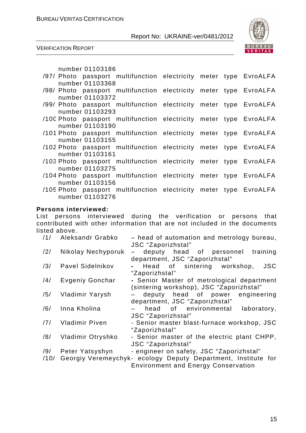

VERIFICATION REPORT

number 01103186

|  |                 | /97/ Photo passport multifunction electricity meter type EvroALFA |  |  |
|--|-----------------|-------------------------------------------------------------------|--|--|
|  | number 01103368 |                                                                   |  |  |
|  |                 | /98/ Photo passport multifunction electricity meter type EvroALFA |  |  |
|  | number 01103372 |                                                                   |  |  |
|  |                 | /99/ Photo passport multifunction electricity meter type EvroALFA |  |  |
|  | number 01103293 |                                                                   |  |  |
|  |                 | /100 Photo passport multifunction electricity meter type EvroALFA |  |  |
|  | number 01103190 |                                                                   |  |  |
|  |                 | /101 Photo passport multifunction electricity meter type EvroALFA |  |  |
|  | number 01103155 |                                                                   |  |  |
|  |                 | /102 Photo passport multifunction electricity meter type EvroALFA |  |  |
|  | number 01103161 |                                                                   |  |  |
|  |                 | /103 Photo passport multifunction electricity meter type EvroALFA |  |  |
|  | number 01103275 |                                                                   |  |  |
|  |                 | /104 Photo passport multifunction electricity meter type EvroALFA |  |  |
|  | number 01103156 |                                                                   |  |  |
|  |                 | /105 Photo passport multifunction electricity meter type EvroALFA |  |  |
|  | number 01103276 |                                                                   |  |  |

#### **Persons interviewed:**

List persons interviewed during the verification or persons that contributed with other information that are not included in the documents listed above.

| /1/         | Aleksandr Grabko      | - head of automation and metrology bureau,<br>JSC "Zaporizhstal"                                                                                        |
|-------------|-----------------------|---------------------------------------------------------------------------------------------------------------------------------------------------------|
| /2/         | Nikolay Nechyporuk    | deputy head of personnel training<br>department, JSC "Zaporizhstal"                                                                                     |
| /3/         | Pavel Sidelnikov      | Head of sintering workshop,<br><b>JSC</b><br>"Zaporizhstal"                                                                                             |
| /4/         | Evgeniy Gonchar       | - Senior Master of metrological department<br>(sintering workshop), JSC "Zaporizhstal"                                                                  |
| /5/         | Vladimir Yarysh       | - deputy head of power engineering<br>department, JSC "Zaporizhstal"                                                                                    |
| /6/         | Inna Kholina          | head of environmental<br>laboratory,<br>$\overline{\phantom{a}}$<br>JSC "Zaporizhstal"                                                                  |
| /7/         | <b>Vladimir Piven</b> | - Senior master blast-furnace workshop, JSC<br>"Zaporizhstal"                                                                                           |
| /8/         | Vladimir Otryshko     | - Senior master of the electric plant CHPP,<br>JSC "Zaporizhstal"                                                                                       |
| /9/<br>/10/ | Peter Yatsyshyn       | - engineer on safety, JSC "Zaporizhstal"<br>Georgiy Veremeychyk- ecology Deputy Department, Institute for<br><b>Environment and Energy Conservation</b> |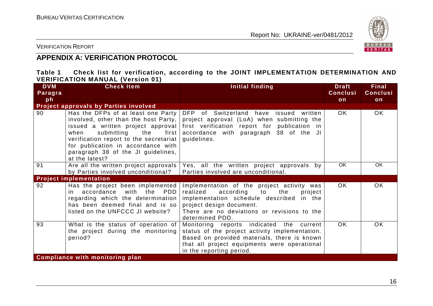

VERIFICATION REPORT

# **APPENDIX A: VERIFICATION PROTOCOL**

| Table 1 |                                         |  | Check list for verification, according to the JOINT IMPLEMENTATION DETERMINATION AND |  |
|---------|-----------------------------------------|--|--------------------------------------------------------------------------------------|--|
|         | <b>VERIFICATION MANUAL (Version 01)</b> |  |                                                                                      |  |

| <b>DVM</b><br>Paragra | <b>Check Item</b>                                                                                                                                                                                                  | Initial finding                                                                                                                                                                                                                                                          | <b>Draft</b><br><b>Conclusi</b> | <b>Final</b><br><b>Conclusi</b> |
|-----------------------|--------------------------------------------------------------------------------------------------------------------------------------------------------------------------------------------------------------------|--------------------------------------------------------------------------------------------------------------------------------------------------------------------------------------------------------------------------------------------------------------------------|---------------------------------|---------------------------------|
| ph                    |                                                                                                                                                                                                                    |                                                                                                                                                                                                                                                                          | on                              | on                              |
|                       | Project approvals by Parties involved                                                                                                                                                                              |                                                                                                                                                                                                                                                                          |                                 |                                 |
| 90                    | Has the DFPs of at least one Party<br>submitting<br>first  <br>when<br>the<br>verification report to the secretariat<br>for publication in accordance with<br>paragraph 38 of the JI guidelines,<br>at the latest? | DFP of Switzerland have issued written<br>involved, other than the host Party, $ $ project approval (LoA) when submitting the<br>issued a written project approval first verification report for publication in<br>accordance with paragraph 38 of the JI<br>guidelines. | OK.                             | <b>OK</b>                       |
| 91                    | Are all the written project approvals                                                                                                                                                                              | Yes, all the written project approvals by                                                                                                                                                                                                                                | OK                              | OK.                             |
|                       | by Parties involved unconditional?                                                                                                                                                                                 | Parties involved are unconditional.                                                                                                                                                                                                                                      |                                 |                                 |
|                       | <b>Project implementation</b>                                                                                                                                                                                      |                                                                                                                                                                                                                                                                          |                                 |                                 |
| 92                    | Has the project been implemented<br>PDD<br>in accordance<br>with the<br>regarding which the determination<br>has been deemed final and is so<br>listed on the UNFCCC JI website?                                   | Implementation of the project activity was<br>realized according to<br>the<br>project<br>implementation schedule described in the<br>project design document.<br>There are no deviations or revisions to the<br>determined PDD.                                          | OK.                             | OK                              |
| 93                    | What is the status of operation of<br>the project during the monitoring<br>period?                                                                                                                                 | Monitoring reports indicated the current<br>status of the project activity implementation.<br>Based on provided materials, there is known<br>that all project equipments were operational<br>in the reporting period.                                                    | OK.                             | OK.                             |
|                       | <b>Compliance with monitoring plan</b>                                                                                                                                                                             |                                                                                                                                                                                                                                                                          |                                 |                                 |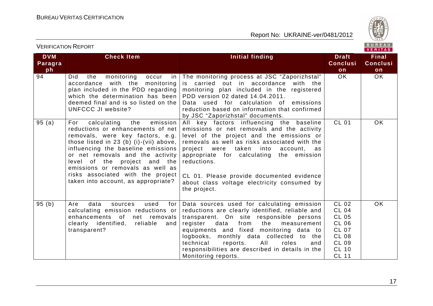

# VERIFICATION REPORT

| <b>DVM</b><br>Paragra | <b>Check Item</b>                                                                                                                                                                                                                                                                                                                                                                   | Initial finding                                                                                                                                                                                                                                                                                                                                                                                                | <b>Draft</b><br><b>Conclusi</b>                                                                                                              | <b>Final</b><br><b>Conclusi</b> |
|-----------------------|-------------------------------------------------------------------------------------------------------------------------------------------------------------------------------------------------------------------------------------------------------------------------------------------------------------------------------------------------------------------------------------|----------------------------------------------------------------------------------------------------------------------------------------------------------------------------------------------------------------------------------------------------------------------------------------------------------------------------------------------------------------------------------------------------------------|----------------------------------------------------------------------------------------------------------------------------------------------|---------------------------------|
| ph<br>94              | Did<br>the<br>monitoring<br>occur<br>in<br>accordance with the<br>monitoring<br>plan included in the PDD regarding<br>which the determination has been<br>deemed final and is so listed on the<br>UNFCCC JI website?                                                                                                                                                                | The monitoring process at JSC "Zaporizhstal"<br>is carried out in accordance<br>with the<br>monitoring plan included in the registered<br>PDD version 02 dated 14.04.2011.<br>Data used for calculation of emissions<br>reduction based on information that confirmed<br>by JSC "Zaporizhstal" documents.                                                                                                      | on<br>OK.                                                                                                                                    | on<br>OK.                       |
| 95(a)                 | emission<br>For<br>calculating<br>the<br>reductions or enhancements of net<br>removals, were key factors, e.g.<br>those listed in 23 (b) (i)-(vii) above,<br>influencing the baseline emissions<br>or net removals and the activity<br>level of the project and the<br>emissions or removals as well as<br>risks associated with the project<br>taken into account, as appropriate? | All key factors influencing the baseline<br>emissions or net removals and the activity<br>level of the project and the emissions or<br>removals as well as risks associated with the<br>project were<br>taken<br>into<br>account,<br>as<br>appropriate for calculating the emission<br>reductions.<br>CL 01. Please provide documented evidence<br>about class voltage electricity consumed by<br>the project. | <b>CL 01</b>                                                                                                                                 | <b>OK</b>                       |
| 95(b)                 | data<br>Are<br>used<br>sources<br>for<br>calculating emission reductions or<br>enhancements of<br>net removals<br>clearly identified,<br>reliable<br>and<br>transparent?                                                                                                                                                                                                            | Data sources used for calculating emission<br>reductions are clearly identified, reliable and<br>transparent. On site responsible persons<br>register<br>data<br>from<br>the<br>measurement<br>equipments and fixed monitoring data to<br>logbooks, monthly data collected to the<br>technical<br>roles<br>reports.<br>All<br>and<br>responsibilities are described in details in the<br>Monitoring reports.   | <b>CL 02</b><br><b>CL 04</b><br><b>CL 05</b><br><b>CL 06</b><br><b>CL 07</b><br><b>CL 08</b><br><b>CL 09</b><br><b>CL 10</b><br><b>CL 11</b> | <b>OK</b>                       |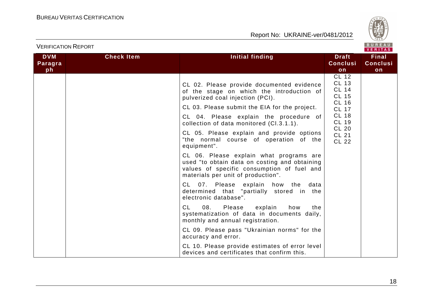

|                       |                   |                                                                                                                                                                              |                                                                              | VERITAS                         |
|-----------------------|-------------------|------------------------------------------------------------------------------------------------------------------------------------------------------------------------------|------------------------------------------------------------------------------|---------------------------------|
| <b>DVM</b><br>Paragra | <b>Check Item</b> | Initial finding                                                                                                                                                              | <b>Draft</b><br><b>Conclusi</b>                                              | <b>Final</b><br><b>Conclusi</b> |
| ph                    |                   |                                                                                                                                                                              | on                                                                           | on                              |
|                       |                   | CL 02. Please provide documented evidence<br>of the stage on which the introduction of<br>pulverized coal injection (PCI).                                                   | <b>CL 12</b><br><b>CL 13</b><br><b>CL 14</b><br><b>CL 15</b><br><b>CL 16</b> |                                 |
|                       |                   | CL 03. Please submit the EIA for the project.                                                                                                                                | <b>CL 17</b>                                                                 |                                 |
|                       |                   | CL 04. Please explain the procedure of<br>collection of data monitored (Cl.3.1.1).                                                                                           | <b>CL 18</b><br><b>CL 19</b>                                                 |                                 |
|                       |                   | CL 05. Please explain and provide options<br>"the normal course of operation of the<br>equipment".                                                                           | <b>CL 20</b><br><b>CL 21</b><br><b>CL 22</b>                                 |                                 |
|                       |                   | CL 06. Please explain what programs are<br>used "to obtain data on costing and obtaining<br>values of specific consumption of fuel and<br>materials per unit of production". |                                                                              |                                 |
|                       |                   | CL 07. Please explain how the data<br>determined that "partially stored in the<br>electronic database".                                                                      |                                                                              |                                 |
|                       |                   | <b>CL</b><br>08.<br>Please explain<br>how<br>the<br>systematization of data in documents daily,<br>monthly and annual registration.                                          |                                                                              |                                 |
|                       |                   | CL 09. Please pass "Ukrainian norms" for the<br>accuracy and error.                                                                                                          |                                                                              |                                 |
|                       |                   | CL 10. Please provide estimates of error level<br>devices and certificates that confirm this.                                                                                |                                                                              |                                 |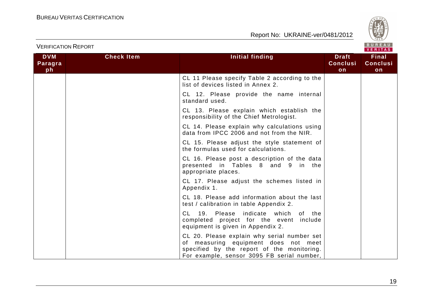



|                             |                   |                                                                                                                                                                                 |                                       | V E R I T A S                         |
|-----------------------------|-------------------|---------------------------------------------------------------------------------------------------------------------------------------------------------------------------------|---------------------------------------|---------------------------------------|
| <b>DVM</b><br>Paragra<br>ph | <b>Check Item</b> | <b>Initial finding</b>                                                                                                                                                          | <b>Draft</b><br><b>Conclusi</b><br>on | <b>Final</b><br><b>Conclusi</b><br>on |
|                             |                   | CL 11 Please specify Table 2 according to the<br>list of devices listed in Annex 2.                                                                                             |                                       |                                       |
|                             |                   | CL 12. Please provide the name internal<br>standard used.                                                                                                                       |                                       |                                       |
|                             |                   | CL 13. Please explain which establish the<br>responsibility of the Chief Metrologist.                                                                                           |                                       |                                       |
|                             |                   | CL 14. Please explain why calculations using<br>data from IPCC 2006 and not from the NIR.                                                                                       |                                       |                                       |
|                             |                   | CL 15. Please adjust the style statement of<br>the formulas used for calculations.                                                                                              |                                       |                                       |
|                             |                   | CL 16. Please post a description of the data<br>presented in Tables 8 and 9 in the<br>appropriate places.                                                                       |                                       |                                       |
|                             |                   | CL 17. Please adjust the schemes listed in<br>Appendix 1.                                                                                                                       |                                       |                                       |
|                             |                   | CL 18. Please add information about the last<br>test / calibration in table Appendix 2.                                                                                         |                                       |                                       |
|                             |                   | CL 19. Please indicate which of the<br>completed project for the event include<br>equipment is given in Appendix 2.                                                             |                                       |                                       |
|                             |                   | CL 20. Please explain why serial number set<br>of measuring equipment does not meet<br>specified by the report of the monitoring.<br>For example, sensor 3095 FB serial number, |                                       |                                       |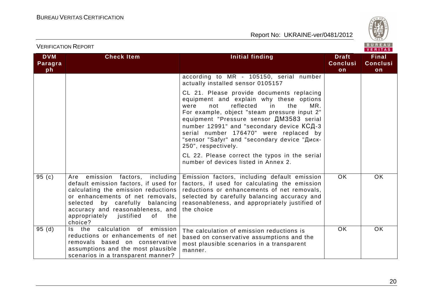

|                             |                                                                                                                                                                                                                                                                               |                                                                                                                                                                                                                                                                                                                                                                                                       |                                       | VENIIAS.                              |
|-----------------------------|-------------------------------------------------------------------------------------------------------------------------------------------------------------------------------------------------------------------------------------------------------------------------------|-------------------------------------------------------------------------------------------------------------------------------------------------------------------------------------------------------------------------------------------------------------------------------------------------------------------------------------------------------------------------------------------------------|---------------------------------------|---------------------------------------|
| <b>DVM</b><br>Paragra<br>ph | <b>Check Item</b>                                                                                                                                                                                                                                                             | <b>Initial finding</b>                                                                                                                                                                                                                                                                                                                                                                                | <b>Draft</b><br><b>Conclusi</b><br>on | <b>Final</b><br><b>Conclusi</b><br>on |
|                             |                                                                                                                                                                                                                                                                               | according to MR - 105150, serial number<br>actually installed sensor 0105157                                                                                                                                                                                                                                                                                                                          |                                       |                                       |
|                             |                                                                                                                                                                                                                                                                               | CL 21. Please provide documents replacing<br>equipment and explain why these options<br>MR.<br>reflected<br>in<br>the<br>were<br>not<br>For example, object "steam pressure input 2"<br>equipment "Pressure sensor <b>AM3583</b> serial<br>number 12991" and "secondary device КСД-3<br>serial number 176470" were replaced by<br>"sensor "Safyr" and "secondary device "Диск-<br>250", respectively. |                                       |                                       |
|                             |                                                                                                                                                                                                                                                                               | CL 22. Please correct the typos in the serial<br>number of devices listed in Annex 2.                                                                                                                                                                                                                                                                                                                 |                                       |                                       |
| 95(c)                       | Are emission factors, including<br>default emission factors, if used for<br>calculating the emission reductions<br>or enhancements of net removals,<br>selected by carefully balancing<br>accuracy and reasonableness, and<br>appropriately justified<br>0f<br>the<br>choice? | Emission factors, including default emission<br>factors, if used for calculating the emission<br>reductions or enhancements of net removals,<br>selected by carefully balancing accuracy and<br>reasonableness, and appropriately justified of<br>the choice                                                                                                                                          | <b>OK</b>                             | OK.                                   |
| 95(d)                       | calculation<br>of emission<br>the<br>ls -<br>reductions or enhancements of net<br>removals based on conservative<br>assumptions and the most plausible<br>scenarios in a transparent manner?                                                                                  | The calculation of emission reductions is<br>based on conservative assumptions and the<br>most plausible scenarios in a transparent<br>manner.                                                                                                                                                                                                                                                        | <b>OK</b>                             | <b>OK</b>                             |

VERIFICATION REPORT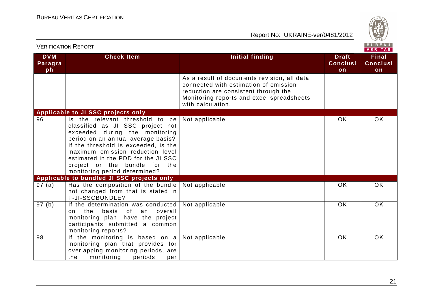

| BUREAU<br><b>VERIFICATION REPORT</b><br><b>VERITAS</b> |                                                                                                                                                                                                                                                                                                                                  |                                                                                                                                                                                                |                                       |                                |
|--------------------------------------------------------|----------------------------------------------------------------------------------------------------------------------------------------------------------------------------------------------------------------------------------------------------------------------------------------------------------------------------------|------------------------------------------------------------------------------------------------------------------------------------------------------------------------------------------------|---------------------------------------|--------------------------------|
| <b>DVM</b><br>Paragra<br>ph                            | <b>Check Item</b>                                                                                                                                                                                                                                                                                                                | Initial finding                                                                                                                                                                                | <b>Draft</b><br><b>Conclusi</b><br>on | Final<br><b>Conclusi</b><br>on |
|                                                        |                                                                                                                                                                                                                                                                                                                                  | As a result of documents revision, all data<br>connected with estimation of emission<br>reduction are consistent through the<br>Monitoring reports and excel spreadsheets<br>with calculation. |                                       |                                |
|                                                        | Applicable to JI SSC projects only                                                                                                                                                                                                                                                                                               |                                                                                                                                                                                                |                                       |                                |
| 96                                                     | Is the relevant threshold to be<br>classified as JI SSC project not<br>exceeded during the monitoring<br>period on an annual average basis?<br>If the threshold is exceeded, is the<br>maximum emission reduction level<br>estimated in the PDD for the JI SSC<br>project or the bundle for the<br>monitoring period determined? | Not applicable                                                                                                                                                                                 | <b>OK</b>                             | <b>OK</b>                      |
|                                                        | Applicable to bundled JI SSC projects only                                                                                                                                                                                                                                                                                       |                                                                                                                                                                                                |                                       |                                |
| 97 (a)                                                 | Has the composition of the bundle<br>not changed from that is stated in<br>F-JI-SSCBUNDLE?                                                                                                                                                                                                                                       | Not applicable                                                                                                                                                                                 | <b>OK</b>                             | <b>OK</b>                      |
| 97(b)                                                  | If the determination was conducted<br>0f<br>the<br>basis<br>overall<br>an<br>on<br>monitoring plan, have the project<br>participants submitted a common<br>monitoring reports?                                                                                                                                                   | Not applicable                                                                                                                                                                                 | <b>OK</b>                             | <b>OK</b>                      |
| 98                                                     | If the monitoring is based on a<br>monitoring plan that provides for<br>overlapping monitoring periods, are<br>the<br>monitoring<br>periods<br>per                                                                                                                                                                               | Not applicable                                                                                                                                                                                 | OK                                    | <b>OK</b>                      |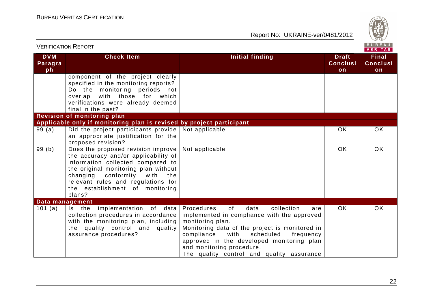

| <b>VERIFICATION REPORT</b>  |                                                                                                                                                                                                                                                                                  |                                                                                                                                                                                                                                                                                                                                           |                                       |                                |  |
|-----------------------------|----------------------------------------------------------------------------------------------------------------------------------------------------------------------------------------------------------------------------------------------------------------------------------|-------------------------------------------------------------------------------------------------------------------------------------------------------------------------------------------------------------------------------------------------------------------------------------------------------------------------------------------|---------------------------------------|--------------------------------|--|
| <b>DVM</b><br>Paragra<br>ph | <b>Check Item</b>                                                                                                                                                                                                                                                                | <b>Initial finding</b>                                                                                                                                                                                                                                                                                                                    | <b>Draft</b><br><b>Conclusi</b><br>on | Final<br><b>Conclusi</b><br>on |  |
|                             | component of the project clearly<br>specified in the monitoring reports?<br>Do the monitoring periods not<br>overlap with those for which<br>verifications were already deemed<br>final in the past?                                                                             |                                                                                                                                                                                                                                                                                                                                           |                                       |                                |  |
|                             | <b>Revision of monitoring plan</b>                                                                                                                                                                                                                                               |                                                                                                                                                                                                                                                                                                                                           |                                       |                                |  |
| 99(a)                       | Applicable only if monitoring plan is revised by project participant<br>Did the project participants provide<br>an appropriate justification for the<br>proposed revision?                                                                                                       | Not applicable                                                                                                                                                                                                                                                                                                                            | <b>OK</b>                             | <b>OK</b>                      |  |
| 99(b)                       | Does the proposed revision improve<br>the accuracy and/or applicability of<br>information collected compared to<br>the original monitoring plan without<br>changing conformity<br>with<br>the<br>relevant rules and regulations for<br>the establishment of monitoring<br>plans? | Not applicable                                                                                                                                                                                                                                                                                                                            | <b>OK</b>                             | <b>OK</b>                      |  |
| Data management             |                                                                                                                                                                                                                                                                                  |                                                                                                                                                                                                                                                                                                                                           |                                       |                                |  |
| 101 (a)                     | Is the implementation of data<br>collection procedures in accordance<br>with the monitoring plan, including<br>the quality control and quality<br>assurance procedures?                                                                                                          | of<br>Procedures<br>data<br>collection<br>are<br>implemented in compliance with the approved<br>monitoring plan.<br>Monitoring data of the project is monitored in<br>with<br>scheduled<br>compliance<br>frequency<br>approved in the developed monitoring plan<br>and monitoring procedure.<br>The quality control and quality assurance | <b>OK</b>                             | <b>OK</b>                      |  |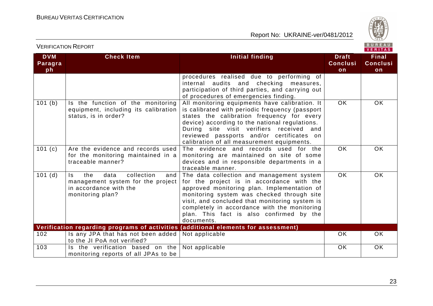

# VERIFICATION REPORT

| <b>DVM</b>    | <b>Check Item</b>                                                                                                          | Initial finding                                                                                                                                                                                                                                                                                                                                 | <b>Draft</b>          | <b>Final</b>          |
|---------------|----------------------------------------------------------------------------------------------------------------------------|-------------------------------------------------------------------------------------------------------------------------------------------------------------------------------------------------------------------------------------------------------------------------------------------------------------------------------------------------|-----------------------|-----------------------|
| Paragra<br>ph |                                                                                                                            |                                                                                                                                                                                                                                                                                                                                                 | <b>Conclusi</b><br>on | <b>Conclusi</b><br>on |
|               |                                                                                                                            | procedures realised due to performing of<br>internal audits and checking measures,<br>participation of third parties, and carrying out<br>of procedures of emergencies finding.                                                                                                                                                                 |                       |                       |
| 101(b)        | Is the function of the monitoring<br>equipment, including its calibration<br>status, is in order?                          | All monitoring equipments have calibration. It<br>is calibrated with periodic frequency (passport<br>states the calibration frequency for every<br>device) according to the national regulations.<br>During site visit verifiers received and<br>reviewed passports and/or certificates on<br>calibration of all measurement equipments.        | $\overline{OK}$       | <b>OK</b>             |
| 101(c)        | Are the evidence and records used<br>for the monitoring maintained in a<br>traceable manner?                               | The evidence and records used for the<br>monitoring are maintained on site of some<br>devices and in responsible departments in a<br>traceable manner.                                                                                                                                                                                          | <b>OK</b>             | <b>OK</b>             |
| 101(d)        | collection<br>Is.<br>the<br>data<br>and<br>management system for the project<br>in accordance with the<br>monitoring plan? | The data collection and management system<br>for the project is in accordance with the<br>approved monitoring plan. Implementation of<br>monitoring system was checked through site<br>visit, and concluded that monitoring system is<br>completely in accordance with the monitoring<br>plan. This fact is also confirmed by the<br>documents. | <b>OK</b>             | <b>OK</b>             |
|               |                                                                                                                            | Verification regarding programs of activities (additional elements for assessment)                                                                                                                                                                                                                                                              |                       |                       |
| 102           | Is any JPA that has not been added<br>to the JI PoA not verified?                                                          | Not applicable                                                                                                                                                                                                                                                                                                                                  | <b>OK</b>             | <b>OK</b>             |
| 103           | Is the verification based on the<br>monitoring reports of all JPAs to be                                                   | Not applicable                                                                                                                                                                                                                                                                                                                                  | OK                    | <b>OK</b>             |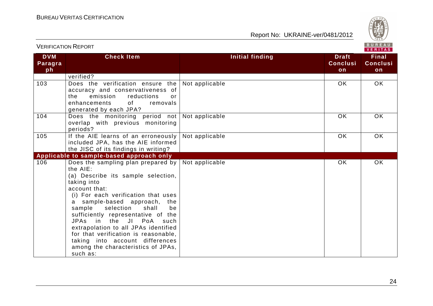

| BUREAU<br><b>VERIFICATION REPORT</b><br><b>VERITAS</b> |                                                                                                                                                                                                                                                                                                                                                                                                                                                                            |                 |                                       |                                       |
|--------------------------------------------------------|----------------------------------------------------------------------------------------------------------------------------------------------------------------------------------------------------------------------------------------------------------------------------------------------------------------------------------------------------------------------------------------------------------------------------------------------------------------------------|-----------------|---------------------------------------|---------------------------------------|
| <b>DVM</b><br>Paragra<br>ph                            | <b>Check Item</b>                                                                                                                                                                                                                                                                                                                                                                                                                                                          | Initial finding | <b>Draft</b><br><b>Conclusi</b><br>on | <b>Final</b><br><b>Conclusi</b><br>on |
|                                                        | verified?                                                                                                                                                                                                                                                                                                                                                                                                                                                                  |                 |                                       |                                       |
| 103                                                    | Does the verification ensure the<br>accuracy and conservativeness of<br>emission<br>the<br>reductions<br>or<br>removals<br>enhancements<br>0f<br>generated by each JPA?                                                                                                                                                                                                                                                                                                    | Not applicable  | <b>OK</b>                             | <b>OK</b>                             |
| 104                                                    | Does the monitoring period not<br>overlap with previous monitoring<br>periods?                                                                                                                                                                                                                                                                                                                                                                                             | Not applicable  | <b>OK</b>                             | <b>OK</b>                             |
| 105                                                    | If the AIE learns of an erroneously<br>included JPA, has the AIE informed<br>the JISC of its findings in writing?                                                                                                                                                                                                                                                                                                                                                          | Not applicable  | <b>OK</b>                             | <b>OK</b>                             |
|                                                        | Applicable to sample-based approach only                                                                                                                                                                                                                                                                                                                                                                                                                                   |                 |                                       |                                       |
| 106                                                    | Does the sampling plan prepared by<br>the AIE:<br>(a) Describe its sample selection,<br>taking into<br>account that:<br>(i) For each verification that uses<br>a sample-based approach, the<br>selection<br>sample<br>shall<br>be<br>sufficiently representative of the<br>JPAs in the JI PoA<br>such<br>extrapolation to all JPAs identified<br>for that verification is reasonable,<br>taking into account differences<br>among the characteristics of JPAs,<br>such as: | Not applicable  | <b>OK</b>                             | OK                                    |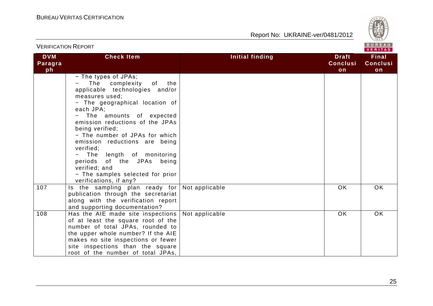

| <b>VERIFICATION REPORT</b>  |                                                                                                                                                                                                                                                                                                                                                                                                                                                                          |                        |                                       | BUREAU<br>VERITAS                     |
|-----------------------------|--------------------------------------------------------------------------------------------------------------------------------------------------------------------------------------------------------------------------------------------------------------------------------------------------------------------------------------------------------------------------------------------------------------------------------------------------------------------------|------------------------|---------------------------------------|---------------------------------------|
| <b>DVM</b><br>Paragra<br>ph | <b>Check Item</b>                                                                                                                                                                                                                                                                                                                                                                                                                                                        | <b>Initial finding</b> | <b>Draft</b><br><b>Conclusi</b><br>on | <b>Final</b><br><b>Conclusi</b><br>on |
|                             | - The types of JPAs;<br>The<br>complexity<br>of<br>the<br>applicable technologies and/or<br>measures used;<br>- The geographical location of<br>each JPA;<br>The amounts of expected<br>emission reductions of the JPAs<br>being verified;<br>- The number of JPAs for which<br>emission reductions are being<br>verified;<br>length of monitoring<br>The<br>periods of the JPAs<br>being<br>verified; and<br>- The samples selected for prior<br>verifications, if any? |                        |                                       |                                       |
| 107                         | Is the sampling plan ready for<br>publication through the secretariat<br>along with the verification report<br>and supporting documentation?                                                                                                                                                                                                                                                                                                                             | Not applicable         | <b>OK</b>                             | <b>OK</b>                             |
| 108                         | Has the AIE made site inspections  <br>of at least the square root of the<br>number of total JPAs, rounded to<br>the upper whole number? If the AIE<br>makes no site inspections or fewer<br>site inspections than the square<br>root of the number of total JPAs,                                                                                                                                                                                                       | Not applicable         | OK                                    | OK                                    |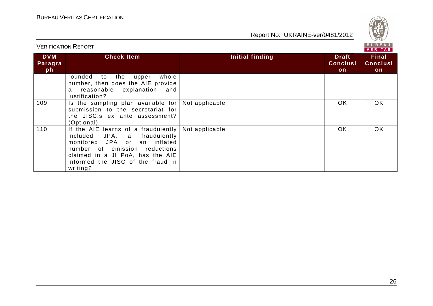

|                             |                                                                                                                                                                                                                                 |                 |                                       | V E K I I A S                         |
|-----------------------------|---------------------------------------------------------------------------------------------------------------------------------------------------------------------------------------------------------------------------------|-----------------|---------------------------------------|---------------------------------------|
| <b>DVM</b><br>Paragra<br>ph | <b>Check Item</b>                                                                                                                                                                                                               | Initial finding | <b>Draft</b><br><b>Conclusi</b><br>on | <b>Final</b><br><b>Conclusi</b><br>on |
|                             | the<br>whole<br>rounded<br>to<br>upper<br>number, then does the AIE provide<br>reasonable explanation<br>and<br>a<br>justification?                                                                                             |                 |                                       |                                       |
| 109                         | Is the sampling plan available for<br>submission to the secretariat for<br>the JISC.s ex ante assessment?<br>(Optional)                                                                                                         | Not applicable  | <b>OK</b>                             | OK.                                   |
| 110                         | If the AIE learns of a fraudulently<br>JPA, a fraudulently<br>included<br>an inflated<br>monitored JPA or<br>number of emission reductions<br>claimed in a JI PoA, has the AIE<br>informed the JISC of the fraud in<br>writing? | Not applicable  | <b>OK</b>                             | <b>OK</b>                             |

# VERIFICATION REPORT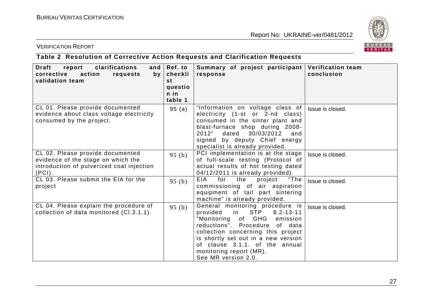

#### VERIFICATION REPORT

# **Table 2 Resolution of Corrective Action Requests and Clarification Requests**

| <b>Draft</b><br>report<br>clarifications<br>and $\vert$<br>action<br>corrective<br>requests<br>by<br>validation team          | Ref. to<br>checkli<br>st<br>questio<br>$n$ in<br>table 1 | Summary of project participant<br>response                                                                                                                                                                                                                                                                                 | <b>Verification team</b><br>conclusion |
|-------------------------------------------------------------------------------------------------------------------------------|----------------------------------------------------------|----------------------------------------------------------------------------------------------------------------------------------------------------------------------------------------------------------------------------------------------------------------------------------------------------------------------------|----------------------------------------|
| CL 01. Please provide documented<br>evidence about class voltage electricity<br>consumed by the project.                      | 95(a)                                                    | "Information on voltage class of<br>electricity (1-st or 2-nd class)<br>consumed in the sinter plant and<br>blast-furnace shop during 2008-<br>2012"<br>dated<br>30/03/2012<br>and<br>signed by deputy Chief energy<br>specialist is already provided.                                                                     | Issue is closed.                       |
| CL 02. Please provide documented<br>evidence of the stage on which the<br>introduction of pulverized coal injection<br>(PCI). | 95(b)                                                    | PCI implementation is at the stage<br>of full-scale testing (Protocol of<br>actual results of hot testing dated<br>04/12/2011 is already provided).                                                                                                                                                                        | Issue is closed.                       |
| CL 03. Please submit the EIA for the<br>project                                                                               | 95(b)                                                    | "The<br>EIA<br>the<br>for<br>project<br>commissioning of air aspiration<br>equipment of tail part sintering<br>machine" is already provided.                                                                                                                                                                               | Issue is closed.                       |
| CL 04. Please explain the procedure of<br>collection of data monitored (Cl.3.1.1).                                            | 95(b)                                                    | General monitoring procedure is<br><b>STP</b><br>provided<br>in<br>$8.2 - 13 - 11$<br>"Monitoring of GHG<br>emission<br>reductions". Procedure<br>of data<br>collection concerning this project<br>is shortly set out in a new version<br>of clause 3.1.1. of the annual<br>monitoring report (MR).<br>See MR version 2.0. | Issue is closed.                       |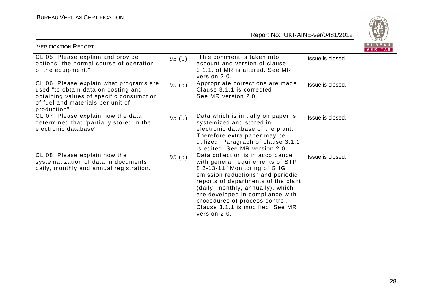

| <b>VERIFICATION REPORT</b>                                                                                                                                                     |          |                                                                                                                                                                                                                                                                                                                                                 | BUREAU<br><b>VERITAS</b> |
|--------------------------------------------------------------------------------------------------------------------------------------------------------------------------------|----------|-------------------------------------------------------------------------------------------------------------------------------------------------------------------------------------------------------------------------------------------------------------------------------------------------------------------------------------------------|--------------------------|
| CL 05. Please explain and provide<br>options "the normal course of operation<br>of the equipment."                                                                             | 95 $(b)$ | This comment is taken into<br>account and version of clause<br>3.1.1. of MR is altered. See MR<br>version 2.0.                                                                                                                                                                                                                                  | Issue is closed.         |
| CL 06. Please explain what programs are<br>used "to obtain data on costing and<br>obtaining values of specific consumption<br>of fuel and materials per unit of<br>production" | 95(b)    | Appropriate corrections are made.<br>Clause 3.1.1 is corrected.<br>See MR version 2.0.                                                                                                                                                                                                                                                          | Issue is closed.         |
| CL 07. Please explain how the data<br>determined that "partially stored in the<br>electronic database"                                                                         | 95(b)    | Data which is initially on paper is<br>systemized and stored in<br>electronic database of the plant.<br>Therefore extra paper may be<br>utilized. Paragraph of clause 3.1.1<br>is edited. See MR version 2.0.                                                                                                                                   | Issue is closed.         |
| CL 08. Please explain how the<br>systematization of data in documents<br>daily, monthly and annual registration.                                                               | 95(b)    | Data collection is in accordance<br>with general requirements of STP<br>8.2-13-11 "Monitoring of GHG<br>emission reductions" and periodic<br>reports of departments of the plant<br>(daily, monthly, annually), which<br>are developed in compliance with<br>procedures of process control.<br>Clause 3.1.1 is modified. See MR<br>version 2.0. | Issue is closed.         |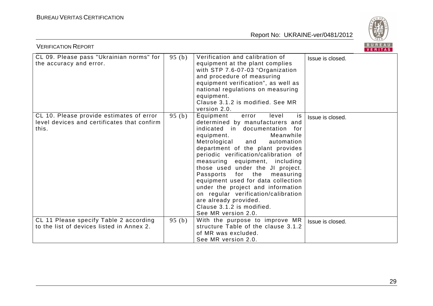

| B U K E A U  <br><b>VERIFICATION REPORT</b><br>VERITAS                                           |       |                                                                                                                                                                                                                                                                                                                                                                                                                                                                                                                                                        |                  |  |
|--------------------------------------------------------------------------------------------------|-------|--------------------------------------------------------------------------------------------------------------------------------------------------------------------------------------------------------------------------------------------------------------------------------------------------------------------------------------------------------------------------------------------------------------------------------------------------------------------------------------------------------------------------------------------------------|------------------|--|
| CL 09. Please pass "Ukrainian norms" for<br>the accuracy and error.                              | 95(b) | Verification and calibration of<br>equipment at the plant complies<br>with STP 7.6-07-03 "Organization<br>and procedure of measuring<br>equipment verification", as well as<br>national regulations on measuring<br>equipment.<br>Clause 3.1.2 is modified. See MR<br>version 2.0.                                                                                                                                                                                                                                                                     | Issue is closed. |  |
| CL 10. Please provide estimates of error<br>level devices and certificates that confirm<br>this. | 95(b) | Equipment<br>error<br>level<br>is<br>determined by manufacturers and<br>indicated in documentation for<br>Meanwhile<br>equipment.<br>Metrological and<br>automation<br>department of the plant provides<br>periodic verification/calibration of<br>measuring equipment, including<br>those used under the JI project.<br>Passports for the<br>measuring<br>equipment used for data collection<br>under the project and information<br>on regular verification/calibration<br>are already provided.<br>Clause 3.1.2 is modified.<br>See MR version 2.0. | Issue is closed. |  |
| CL 11 Please specify Table 2 according<br>to the list of devices listed in Annex 2.              | 95(b) | With the purpose to improve MR<br>structure Table of the clause 3.1.2<br>of MR was excluded.<br>See MR version 2.0.                                                                                                                                                                                                                                                                                                                                                                                                                                    | Issue is closed. |  |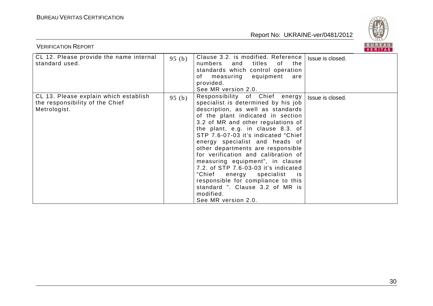

| <b>VERIFICATION REPORT</b>                                                               |       |                                                                                                                                                                                                                                                                                                                                                                                                                                                                                                                                                                                                               | BUREAU<br>VERITAS |
|------------------------------------------------------------------------------------------|-------|---------------------------------------------------------------------------------------------------------------------------------------------------------------------------------------------------------------------------------------------------------------------------------------------------------------------------------------------------------------------------------------------------------------------------------------------------------------------------------------------------------------------------------------------------------------------------------------------------------------|-------------------|
| CL 12. Please provide the name internal<br>standard used.                                | 95(b) | Clause 3.2. is modified. Reference<br>titles<br>numbers<br>and<br>of<br>the<br>standards which control operation<br>of measuring equipment<br>are<br>provided.<br>See MR version 2.0.                                                                                                                                                                                                                                                                                                                                                                                                                         | Issue is closed.  |
| CL 13. Please explain which establish<br>the responsibility of the Chief<br>Metrologist. | 95(b) | Responsibility of Chief energy<br>specialist is determined by his job<br>description, as well as standards<br>of the plant indicated in section<br>3.2 of MR and other regulations of<br>the plant, e.g. in clause 8.3. of<br>STP 7.6-07-03 it's indicated "Chief<br>energy specialist and heads of<br>other departments are responsible<br>for verification and calibration of<br>measuring equipment", in clause<br>7.2. of STP 7.6-03-03 it's indicated<br>"Chief energy<br>specialist<br>is.<br>responsible for compliance to this<br>standard ". Clause 3.2 of MR is<br>modified.<br>See MR version 2.0. | Issue is closed.  |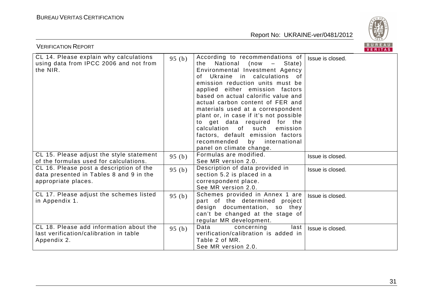

| <b>BUREAU</b><br><b>VERIFICATION REPORT</b><br><b>VERITAS</b>                                             |          |                                                                                                                                                                                                                                                                                                                                                                                                                                                                                                                                              |                  |  |
|-----------------------------------------------------------------------------------------------------------|----------|----------------------------------------------------------------------------------------------------------------------------------------------------------------------------------------------------------------------------------------------------------------------------------------------------------------------------------------------------------------------------------------------------------------------------------------------------------------------------------------------------------------------------------------------|------------------|--|
| CL 14. Please explain why calculations<br>using data from IPCC 2006 and not from<br>the NIR.              | 95 $(b)$ | According to recommendations of<br>National (now –<br>State)<br>the<br>Environmental Investment Agency<br>of Ukraine in calculations of<br>emission reduction units must be<br>applied either emission factors<br>based on actual calorific value and<br>actual carbon content of FER and<br>materials used at a correspondent<br>plant or, in case if it's not possible<br>to get data required for the<br>calculation of such<br>emission<br>factors, default emission factors<br>recommended by international<br>panel on climate change. | Issue is closed. |  |
| CL 15. Please adjust the style statement<br>of the formulas used for calculations.                        | 95 $(b)$ | Formulas are modified.<br>See MR version 2.0.                                                                                                                                                                                                                                                                                                                                                                                                                                                                                                | Issue is closed. |  |
| CL 16. Please post a description of the<br>data presented in Tables 8 and 9 in the<br>appropriate places. | 95 $(b)$ | Description of data provided in<br>section 5.2 is placed in a<br>correspondent place.<br>See MR version 2.0.                                                                                                                                                                                                                                                                                                                                                                                                                                 | Issue is closed. |  |
| CL 17. Please adjust the schemes listed<br>in Appendix 1.                                                 | 95 $(b)$ | Schemes provided in Annex 1 are<br>part of the determined project<br>design documentation, so they<br>can't be changed at the stage of<br>regular MR development.                                                                                                                                                                                                                                                                                                                                                                            | Issue is closed. |  |
| CL 18. Please add information about the<br>last verification/calibration in table<br>Appendix 2.          | 95(b)    | Data<br>concerning<br>last<br>verification/calibration is added in<br>Table 2 of MR.<br>See MR version 2.0.                                                                                                                                                                                                                                                                                                                                                                                                                                  | Issue is closed. |  |